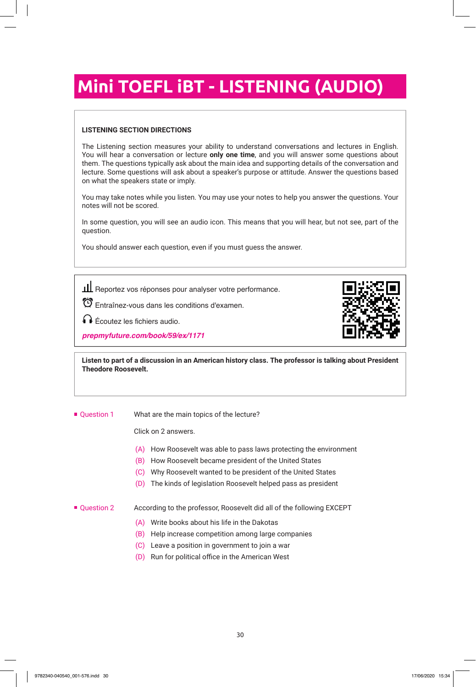# **Mini TOEFL iBT - LISTENING (AUDIO)**

#### **LISTENING SECTION DIRECTIONS**

The Listening section measures your ability to understand conversations and lectures in English. You will hear a conversation or lecture **only one time**, and you will answer some questions about them. The questions typically ask about the main idea and supporting details of the conversation and lecture. Some questions will ask about a speaker's purpose or attitude. Answer the questions based on what the speakers state or imply.

You may take notes while you listen. You may use your notes to help you answer the questions. Your notes will not be scored.

In some question, you will see an audio icon. This means that you will hear, but not see, part of the question.

You should answer each question, even if you must guess the answer.

ILL Reportez vos réponses pour analyser votre performance.

Entraînez-vous dans les conditions d'examen.

Écoutez les fichiers audio.

**prepmyfuture.com/book/59/ex/1171**



**Listen to part of a discussion in an American history class. The professor is talking about President Theodore Roosevelt.**

**Question 1** What are the main topics of the lecture?

Click on 2 answers.

- (A) How Roosevelt was able to pass laws protecting the environment
- (B) How Roosevelt became president of the United States
- (C) Why Roosevelt wanted to be president of the United States
- (D) The kinds of legislation Roosevelt helped pass as president

#### ■ Question 2 According to the professor, Roosevelt did all of the following EXCEPT

- (A) Write books about his life in the Dakotas
- (B) Help increase competition among large companies
- (C) Leave a position in government to join a war
- (D) Run for political office in the American West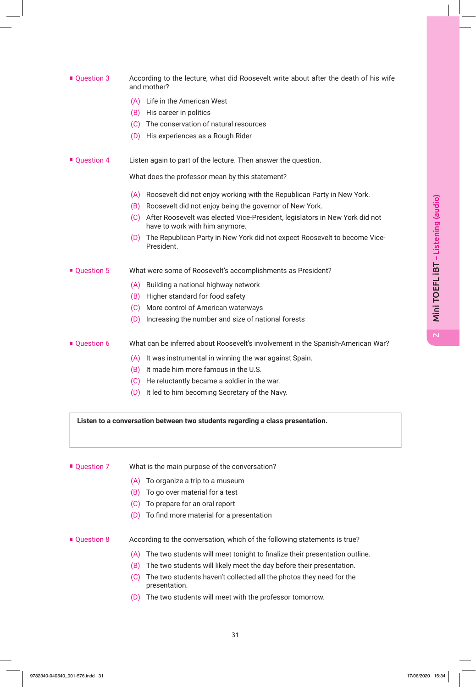# ■ Ouestion 3 According to the lecture, what did Roosevelt write about after the death of his wife and mother? (A) Life in the American West (B) His career in politics (C) The conservation of natural resources (D) His experiences as a Rough Rider ■ Question 4 Listen again to part of the lecture. Then answer the question. What does the professor mean by this statement? (A) Roosevelt did not enjoy working with the Republican Party in New York. (B) Roosevelt did not enjoy being the governor of New York. (C) After Roosevelt was elected Vice-President, legislators in New York did not have to work with him anymore. (D) The Republican Party in New York did not expect Roosevelt to become Vice-President. ■ Question 5 What were some of Roosevelt's accomplishments as President? (A) Building a national highway network (B) Higher standard for food safety (C) More control of American waterways (D) Increasing the number and size of national forests

- Question 6 What can be inferred about Roosevelt's involvement in the Spanish-American War?
	- (A) It was instrumental in winning the war against Spain.
	- (B) It made him more famous in the U.S.
	- (C) He reluctantly became a soldier in the war.
	- (D) It led to him becoming Secretary of the Navy.

**Listen to a conversation between two students regarding a class presentation.**

## ■ Question 7 What is the main purpose of the conversation?

- (A) To organize a trip to a museum
- (B) To go over material for a test
- (C) To prepare for an oral report
- (D) To find more material for a presentation
- Question 8 According to the conversation, which of the following statements is true?
	- (A) The two students will meet tonight to finalize their presentation outline.
	- (B) The two students will likely meet the day before their presentation.
	- (C) The two students haven't collected all the photos they need for the presentation.
	- (D) The two students will meet with the professor tomorrow.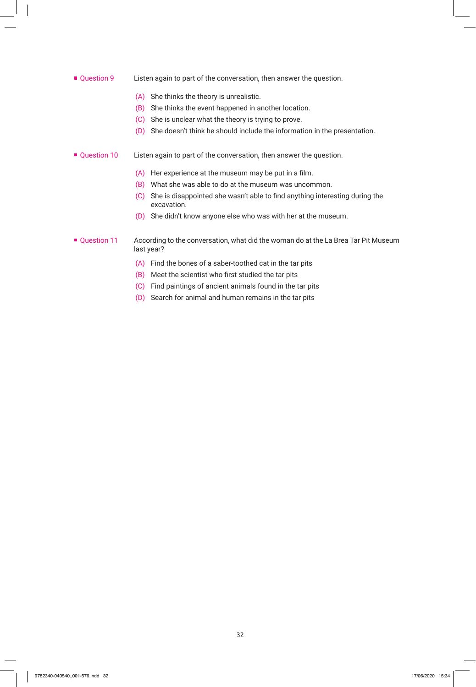#### **Question 9** Listen again to part of the conversation, then answer the question.

- (A) She thinks the theory is unrealistic.
- (B) She thinks the event happened in another location.
- (C) She is unclear what the theory is trying to prove.
- (D) She doesn't think he should include the information in the presentation.

#### Question 10 Listen again to part of the conversation, then answer the question.

- (A) Her experience at the museum may be put in a film.
- (B) What she was able to do at the museum was uncommon.
- (C) She is disappointed she wasn't able to find anything interesting during the excavation.
- (D) She didn't know anyone else who was with her at the museum.

#### ■ Question 11 According to the conversation, what did the woman do at the La Brea Tar Pit Museum last year?

- (A) Find the bones of a saber-toothed cat in the tar pits
- (B) Meet the scientist who first studied the tar pits
- (C) Find paintings of ancient animals found in the tar pits
- (D) Search for animal and human remains in the tar pits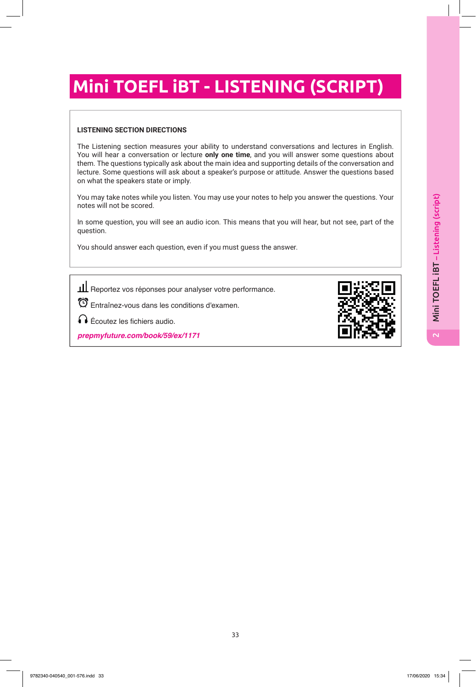# **Mini TOEFL iBT - LISTENING (SCRIPT)**

### **LISTENING SECTION DIRECTIONS**

The Listening section measures your ability to understand conversations and lectures in English. You will hear a conversation or lecture **only one time**, and you will answer some questions about them. The questions typically ask about the main idea and supporting details of the conversation and lecture. Some questions will ask about a speaker's purpose or attitude. Answer the questions based on what the speakers state or imply.

You may take notes while you listen. You may use your notes to help you answer the questions. Your notes will not be scored.

In some question, you will see an audio icon. This means that you will hear, but not see, part of the question.

You should answer each question, even if you must guess the answer.

III Reportez vos réponses pour analyser votre performance.

Entraînez-vous dans les conditions d'examen.

Écoutez les fichiers audio.

**prepmyfuture.com/book/59/ex/1171**

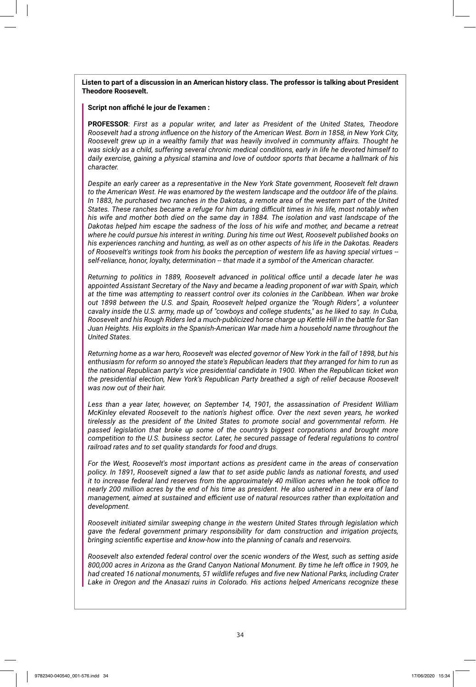#### **Listen to part of a discussion in an American history class. The professor is talking about President Theodore Roosevelt.**

#### **Script non affiché le jour de l'examen :**

**PROFESSOR**: *First as a popular writer, and later as President of the United States, Theodore Roosevelt had a strong influence on the history of the American West. Born in 1858, in New York City, Roosevelt grew up in a wealthy family that was heavily involved in community affairs. Thought he was sickly as a child, suffering several chronic medical conditions, early in life he devoted himself to daily exercise, gaining a physical stamina and love of outdoor sports that became a hallmark of his character.*

*Despite an early career as a representative in the New York State government, Roosevelt felt drawn to the American West. He was enamored by the western landscape and the outdoor life of the plains. In 1883, he purchased two ranches in the Dakotas, a remote area of the western part of the United States. These ranches became a refuge for him during difficult times in his life, most notably when his wife and mother both died on the same day in 1884. The isolation and vast landscape of the Dakotas helped him escape the sadness of the loss of his wife and mother, and became a retreat where he could pursue his interest in writing. During his time out West, Roosevelt published books on his experiences ranching and hunting, as well as on other aspects of his life in the Dakotas. Readers of Roosevelt's writings took from his books the perception of western life as having special virtues - self-reliance, honor, loyalty, determination -- that made it a symbol of the American character.*

*Returning to politics in 1889, Roosevelt advanced in political office until a decade later he was appointed Assistant Secretary of the Navy and became a leading proponent of war with Spain, which at the time was attempting to reassert control over its colonies in the Caribbean. When war broke out 1898 between the U.S. and Spain, Roosevelt helped organize the "Rough Riders", a volunteer cavalry inside the U.S. army, made up of "cowboys and college students," as he liked to say. In Cuba, Roosevelt and his Rough Riders led a much-publicized horse charge up Kettle Hill in the battle for San Juan Heights. His exploits in the Spanish-American War made him a household name throughout the United States.*

*Returning home as a war hero, Roosevelt was elected governor of New York in the fall of 1898, but his enthusiasm for reform so annoyed the state's Republican leaders that they arranged for him to run as the national Republican party's vice presidential candidate in 1900. When the Republican ticket won the presidential election, New York's Republican Party breathed a sigh of relief because Roosevelt was now out of their hair.*

*Less than a year later, however, on September 14, 1901, the assassination of President William McKinley elevated Roosevelt to the nation's highest office. Over the next seven years, he worked tirelessly as the president of the United States to promote social and governmental reform. He passed legislation that broke up some of the country's biggest corporations and brought more competition to the U.S. business sector. Later, he secured passage of federal regulations to control railroad rates and to set quality standards for food and drugs.*

*For the West, Roosevelt's most important actions as president came in the areas of conservation policy. In 1891, Roosevelt signed a law that to set aside public lands as national forests, and used it to increase federal land reserves from the approximately 40 million acres when he took office to nearly 200 million acres by the end of his time as president. He also ushered in a new era of land management, aimed at sustained and efficient use of natural resources rather than exploitation and development.*

*Roosevelt initiated similar sweeping change in the western United States through legislation which gave the federal government primary responsibility for dam construction and irrigation projects, bringing scientific expertise and know-how into the planning of canals and reservoirs.*

*Roosevelt also extended federal control over the scenic wonders of the West, such as setting aside 800,000 acres in Arizona as the Grand Canyon National Monument. By time he left office in 1909, he had created 16 national monuments, 51 wildlife refuges and five new National Parks, including Crater Lake in Oregon and the Anasazi ruins in Colorado. His actions helped Americans recognize these*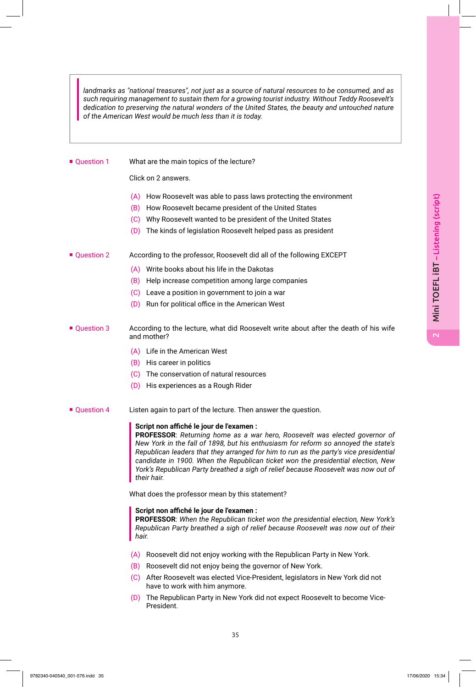*landmarks as "national treasures", not just as a source of natural resources to be consumed, and as such requiring management to sustain them for a growing tourist industry. Without Teddy Roosevelt's dedication to preserving the natural wonders of the United States, the beauty and untouched nature of the American West would be much less than it is today.*

■ Question 1 What are the main topics of the lecture?

Click on 2 answers.

- (A) How Roosevelt was able to pass laws protecting the environment
- (B) How Roosevelt became president of the United States
- (C) Why Roosevelt wanted to be president of the United States
- (D) The kinds of legislation Roosevelt helped pass as president
- Question 2 According to the professor, Roosevelt did all of the following EXCEPT
	- (A) Write books about his life in the Dakotas
	- (B) Help increase competition among large companies
	- (C) Leave a position in government to join a war
	- (D) Run for political office in the American West
- Question 3 According to the lecture, what did Roosevelt write about after the death of his wife and mother?
	- (A) Life in the American West
	- (B) His career in politics
	- (C) The conservation of natural resources
	- (D) His experiences as a Rough Rider
- **Question 4** Listen again to part of the lecture. Then answer the question.

#### **Script non affiché le jour de l'examen :**

**PROFESSOR**: *Returning home as a war hero, Roosevelt was elected governor of New York in the fall of 1898, but his enthusiasm for reform so annoyed the state's Republican leaders that they arranged for him to run as the party's vice presidential candidate in 1900. When the Republican ticket won the presidential election, New York's Republican Party breathed a sigh of relief because Roosevelt was now out of their hair.*

What does the professor mean by this statement?

#### **Script non affiché le jour de l'examen :**

**PROFESSOR**: *When the Republican ticket won the presidential election, New York's Republican Party breathed a sigh of relief because Roosevelt was now out of their hair.*

- (A) Roosevelt did not enjoy working with the Republican Party in New York.
- (B) Roosevelt did not enjoy being the governor of New York.
- (C) After Roosevelt was elected Vice-President, legislators in New York did not have to work with him anymore.
- (D) The Republican Party in New York did not expect Roosevelt to become Vice-President.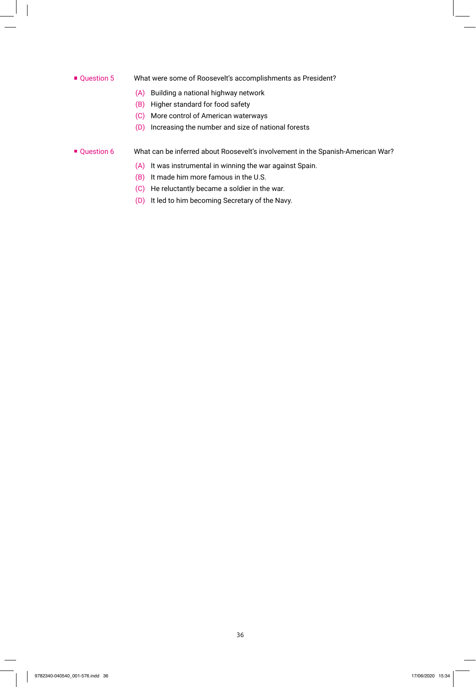#### ■ Question 5 What were some of Roosevelt's accomplishments as President?

- (A) Building a national highway network
- (B) Higher standard for food safety
- (C) More control of American waterways
- (D) Increasing the number and size of national forests
- Question 6 What can be inferred about Roosevelt's involvement in the Spanish-American War?
	- (A) It was instrumental in winning the war against Spain.
	- (B) It made him more famous in the U.S.
	- (C) He reluctantly became a soldier in the war.
	- (D) It led to him becoming Secretary of the Navy.